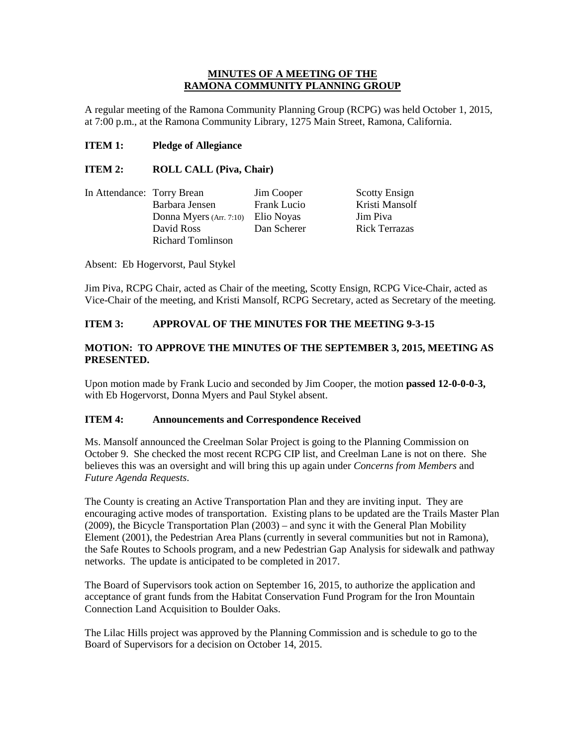#### **MINUTES OF A MEETING OF THE RAMONA COMMUNITY PLANNING GROUP**

A regular meeting of the Ramona Community Planning Group (RCPG) was held October 1, 2015, at 7:00 p.m., at the Ramona Community Library, 1275 Main Street, Ramona, California.

#### **ITEM 1: Pledge of Allegiance**

#### **ITEM 2: ROLL CALL (Piva, Chair)**

| In Attendance: Torry Brean |                                    | Jim Cooper  | <b>Scotty Ensign</b> |
|----------------------------|------------------------------------|-------------|----------------------|
|                            | Barbara Jensen                     | Frank Lucio | Kristi Mansolf       |
|                            | Donna Myers (Arr. 7:10) Elio Noyas |             | Jim Piva             |
|                            | David Ross                         | Dan Scherer | <b>Rick Terrazas</b> |
|                            | <b>Richard Tomlinson</b>           |             |                      |

Absent: Eb Hogervorst, Paul Stykel

Jim Piva, RCPG Chair, acted as Chair of the meeting, Scotty Ensign, RCPG Vice-Chair, acted as Vice-Chair of the meeting, and Kristi Mansolf, RCPG Secretary, acted as Secretary of the meeting.

### **ITEM 3: APPROVAL OF THE MINUTES FOR THE MEETING 9-3-15**

## **MOTION: TO APPROVE THE MINUTES OF THE SEPTEMBER 3, 2015, MEETING AS PRESENTED.**

Upon motion made by Frank Lucio and seconded by Jim Cooper, the motion **passed 12-0-0-0-3,** with Eb Hogervorst, Donna Myers and Paul Stykel absent.

#### **ITEM 4: Announcements and Correspondence Received**

Ms. Mansolf announced the Creelman Solar Project is going to the Planning Commission on October 9. She checked the most recent RCPG CIP list, and Creelman Lane is not on there. She believes this was an oversight and will bring this up again under *Concerns from Members* and *Future Agenda Requests*.

The County is creating an Active Transportation Plan and they are inviting input. They are encouraging active modes of transportation. Existing plans to be updated are the Trails Master Plan (2009), the Bicycle Transportation Plan (2003) – and sync it with the General Plan Mobility Element (2001), the Pedestrian Area Plans (currently in several communities but not in Ramona), the Safe Routes to Schools program, and a new Pedestrian Gap Analysis for sidewalk and pathway networks. The update is anticipated to be completed in 2017.

The Board of Supervisors took action on September 16, 2015, to authorize the application and acceptance of grant funds from the Habitat Conservation Fund Program for the Iron Mountain Connection Land Acquisition to Boulder Oaks.

The Lilac Hills project was approved by the Planning Commission and is schedule to go to the Board of Supervisors for a decision on October 14, 2015.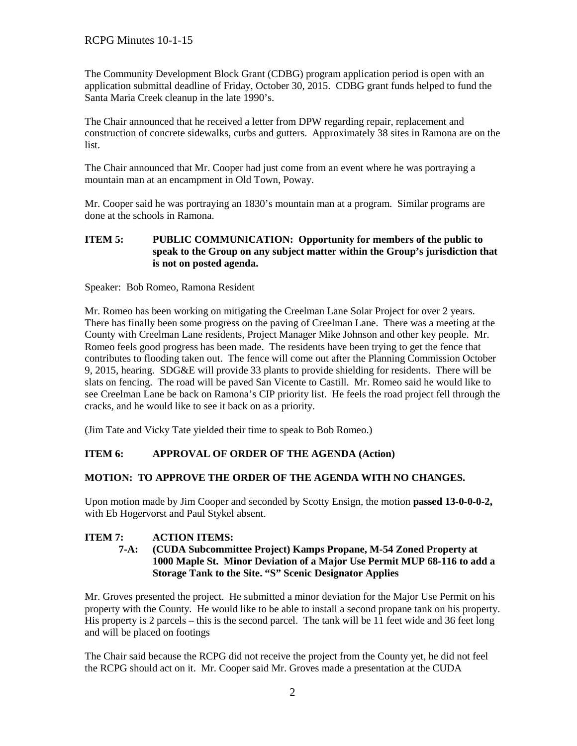The Community Development Block Grant (CDBG) program application period is open with an application submittal deadline of Friday, October 30, 2015. CDBG grant funds helped to fund the Santa Maria Creek cleanup in the late 1990's.

The Chair announced that he received a letter from DPW regarding repair, replacement and construction of concrete sidewalks, curbs and gutters. Approximately 38 sites in Ramona are on the list.

The Chair announced that Mr. Cooper had just come from an event where he was portraying a mountain man at an encampment in Old Town, Poway.

Mr. Cooper said he was portraying an 1830's mountain man at a program. Similar programs are done at the schools in Ramona.

### **ITEM 5: PUBLIC COMMUNICATION: Opportunity for members of the public to speak to the Group on any subject matter within the Group's jurisdiction that is not on posted agenda.**

Speaker: Bob Romeo, Ramona Resident

Mr. Romeo has been working on mitigating the Creelman Lane Solar Project for over 2 years. There has finally been some progress on the paving of Creelman Lane. There was a meeting at the County with Creelman Lane residents, Project Manager Mike Johnson and other key people. Mr. Romeo feels good progress has been made. The residents have been trying to get the fence that contributes to flooding taken out. The fence will come out after the Planning Commission October 9, 2015, hearing. SDG&E will provide 33 plants to provide shielding for residents. There will be slats on fencing. The road will be paved San Vicente to Castill. Mr. Romeo said he would like to see Creelman Lane be back on Ramona's CIP priority list. He feels the road project fell through the cracks, and he would like to see it back on as a priority.

(Jim Tate and Vicky Tate yielded their time to speak to Bob Romeo.)

# **ITEM 6: APPROVAL OF ORDER OF THE AGENDA (Action)**

# **MOTION: TO APPROVE THE ORDER OF THE AGENDA WITH NO CHANGES.**

Upon motion made by Jim Cooper and seconded by Scotty Ensign, the motion **passed 13-0-0-0-2,**  with Eb Hogervorst and Paul Stykel absent.

# **ITEM 7: ACTION ITEMS:**

#### **7-A: (CUDA Subcommittee Project) Kamps Propane, M-54 Zoned Property at 1000 Maple St. Minor Deviation of a Major Use Permit MUP 68-116 to add a Storage Tank to the Site. "S" Scenic Designator Applies**

Mr. Groves presented the project. He submitted a minor deviation for the Major Use Permit on his property with the County. He would like to be able to install a second propane tank on his property. His property is 2 parcels – this is the second parcel. The tank will be 11 feet wide and 36 feet long and will be placed on footings

The Chair said because the RCPG did not receive the project from the County yet, he did not feel the RCPG should act on it. Mr. Cooper said Mr. Groves made a presentation at the CUDA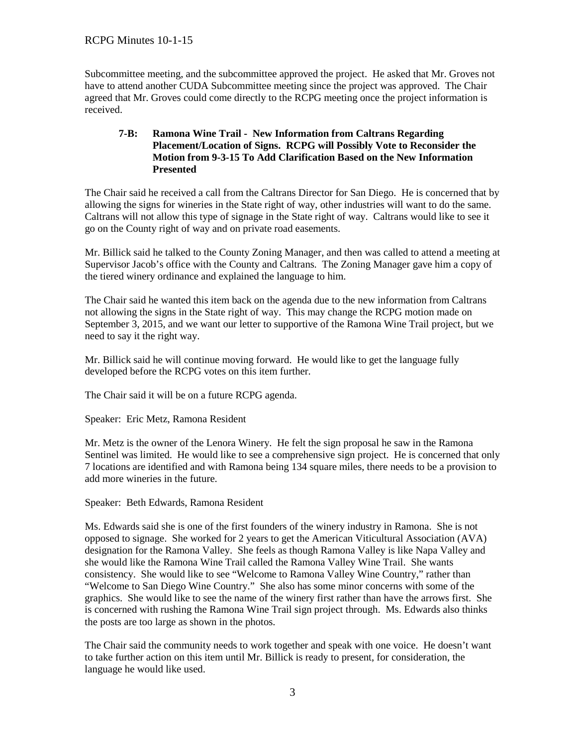Subcommittee meeting, and the subcommittee approved the project. He asked that Mr. Groves not have to attend another CUDA Subcommittee meeting since the project was approved. The Chair agreed that Mr. Groves could come directly to the RCPG meeting once the project information is received.

### **7-B: Ramona Wine Trail - New Information from Caltrans Regarding Placement/Location of Signs. RCPG will Possibly Vote to Reconsider the Motion from 9-3-15 To Add Clarification Based on the New Information Presented**

The Chair said he received a call from the Caltrans Director for San Diego. He is concerned that by allowing the signs for wineries in the State right of way, other industries will want to do the same. Caltrans will not allow this type of signage in the State right of way. Caltrans would like to see it go on the County right of way and on private road easements.

Mr. Billick said he talked to the County Zoning Manager, and then was called to attend a meeting at Supervisor Jacob's office with the County and Caltrans. The Zoning Manager gave him a copy of the tiered winery ordinance and explained the language to him.

The Chair said he wanted this item back on the agenda due to the new information from Caltrans not allowing the signs in the State right of way. This may change the RCPG motion made on September 3, 2015, and we want our letter to supportive of the Ramona Wine Trail project, but we need to say it the right way.

Mr. Billick said he will continue moving forward. He would like to get the language fully developed before the RCPG votes on this item further.

The Chair said it will be on a future RCPG agenda.

Speaker: Eric Metz, Ramona Resident

Mr. Metz is the owner of the Lenora Winery. He felt the sign proposal he saw in the Ramona Sentinel was limited. He would like to see a comprehensive sign project. He is concerned that only 7 locations are identified and with Ramona being 134 square miles, there needs to be a provision to add more wineries in the future.

Speaker: Beth Edwards, Ramona Resident

Ms. Edwards said she is one of the first founders of the winery industry in Ramona. She is not opposed to signage. She worked for 2 years to get the American Viticultural Association (AVA) designation for the Ramona Valley. She feels as though Ramona Valley is like Napa Valley and she would like the Ramona Wine Trail called the Ramona Valley Wine Trail. She wants consistency. She would like to see "Welcome to Ramona Valley Wine Country," rather than "Welcome to San Diego Wine Country." She also has some minor concerns with some of the graphics. She would like to see the name of the winery first rather than have the arrows first. She is concerned with rushing the Ramona Wine Trail sign project through. Ms. Edwards also thinks the posts are too large as shown in the photos.

The Chair said the community needs to work together and speak with one voice. He doesn't want to take further action on this item until Mr. Billick is ready to present, for consideration, the language he would like used.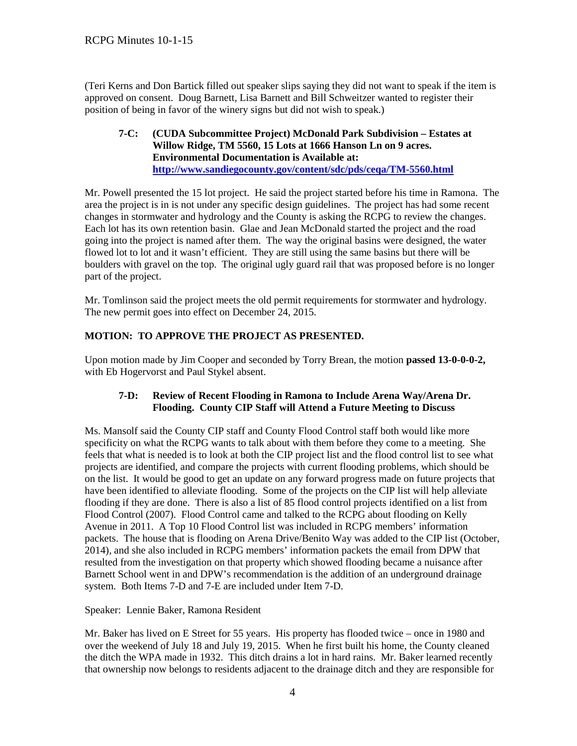(Teri Kerns and Don Bartick filled out speaker slips saying they did not want to speak if the item is approved on consent. Doug Barnett, Lisa Barnett and Bill Schweitzer wanted to register their position of being in favor of the winery signs but did not wish to speak.)

**7-C: (CUDA Subcommittee Project) McDonald Park Subdivision – Estates at Willow Ridge, TM 5560, 15 Lots at 1666 Hanson Ln on 9 acres. Environmental Documentation is Available at: <http://www.sandiegocounty.gov/content/sdc/pds/ceqa/TM-5560.html>**

Mr. Powell presented the 15 lot project. He said the project started before his time in Ramona. The area the project is in is not under any specific design guidelines. The project has had some recent changes in stormwater and hydrology and the County is asking the RCPG to review the changes. Each lot has its own retention basin. Glae and Jean McDonald started the project and the road going into the project is named after them. The way the original basins were designed, the water flowed lot to lot and it wasn't efficient. They are still using the same basins but there will be boulders with gravel on the top. The original ugly guard rail that was proposed before is no longer part of the project.

Mr. Tomlinson said the project meets the old permit requirements for stormwater and hydrology. The new permit goes into effect on December 24, 2015.

# **MOTION: TO APPROVE THE PROJECT AS PRESENTED.**

Upon motion made by Jim Cooper and seconded by Torry Brean, the motion **passed 13-0-0-0-2,**  with Eb Hogervorst and Paul Stykel absent.

### **7-D: Review of Recent Flooding in Ramona to Include Arena Way/Arena Dr. Flooding. County CIP Staff will Attend a Future Meeting to Discuss**

Ms. Mansolf said the County CIP staff and County Flood Control staff both would like more specificity on what the RCPG wants to talk about with them before they come to a meeting. She feels that what is needed is to look at both the CIP project list and the flood control list to see what projects are identified, and compare the projects with current flooding problems, which should be on the list. It would be good to get an update on any forward progress made on future projects that have been identified to alleviate flooding. Some of the projects on the CIP list will help alleviate flooding if they are done. There is also a list of 85 flood control projects identified on a list from Flood Control (2007). Flood Control came and talked to the RCPG about flooding on Kelly Avenue in 2011. A Top 10 Flood Control list was included in RCPG members' information packets. The house that is flooding on Arena Drive/Benito Way was added to the CIP list (October, 2014), and she also included in RCPG members' information packets the email from DPW that resulted from the investigation on that property which showed flooding became a nuisance after Barnett School went in and DPW's recommendation is the addition of an underground drainage system. Both Items 7-D and 7-E are included under Item 7-D.

Speaker: Lennie Baker, Ramona Resident

Mr. Baker has lived on E Street for 55 years. His property has flooded twice – once in 1980 and over the weekend of July 18 and July 19, 2015. When he first built his home, the County cleaned the ditch the WPA made in 1932. This ditch drains a lot in hard rains. Mr. Baker learned recently that ownership now belongs to residents adjacent to the drainage ditch and they are responsible for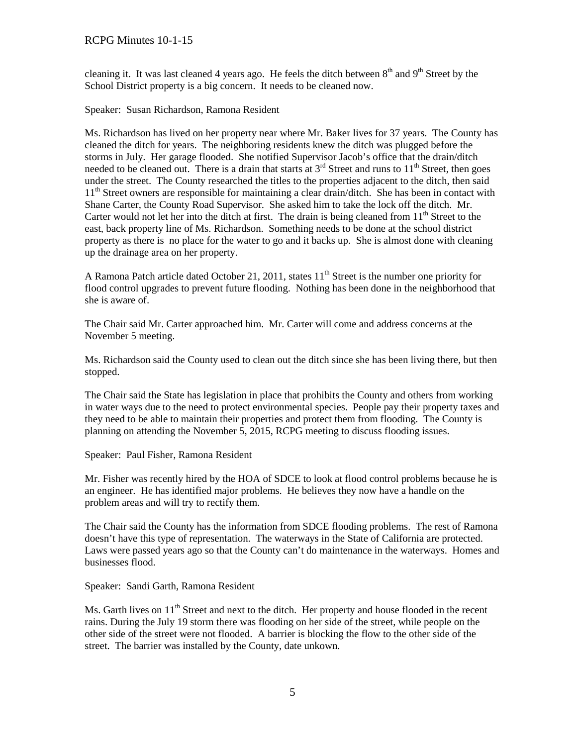cleaning it. It was last cleaned 4 years ago. He feels the ditch between  $8<sup>th</sup>$  and  $9<sup>th</sup>$  Street by the School District property is a big concern. It needs to be cleaned now.

Speaker: Susan Richardson, Ramona Resident

Ms. Richardson has lived on her property near where Mr. Baker lives for 37 years. The County has cleaned the ditch for years. The neighboring residents knew the ditch was plugged before the storms in July. Her garage flooded. She notified Supervisor Jacob's office that the drain/ditch needed to be cleaned out. There is a drain that starts at  $3<sup>rd</sup>$  Street and runs to  $11<sup>th</sup>$  Street, then goes under the street. The County researched the titles to the properties adjacent to the ditch, then said  $11<sup>th</sup>$  Street owners are responsible for maintaining a clear drain/ditch. She has been in contact with Shane Carter, the County Road Supervisor. She asked him to take the lock off the ditch. Mr. Carter would not let her into the ditch at first. The drain is being cleaned from  $11<sup>th</sup>$  Street to the east, back property line of Ms. Richardson. Something needs to be done at the school district property as there is no place for the water to go and it backs up. She is almost done with cleaning up the drainage area on her property.

A Ramona Patch article dated October 21, 2011, states  $11<sup>th</sup>$  Street is the number one priority for flood control upgrades to prevent future flooding. Nothing has been done in the neighborhood that she is aware of.

The Chair said Mr. Carter approached him. Mr. Carter will come and address concerns at the November 5 meeting.

Ms. Richardson said the County used to clean out the ditch since she has been living there, but then stopped.

The Chair said the State has legislation in place that prohibits the County and others from working in water ways due to the need to protect environmental species. People pay their property taxes and they need to be able to maintain their properties and protect them from flooding. The County is planning on attending the November 5, 2015, RCPG meeting to discuss flooding issues.

Speaker: Paul Fisher, Ramona Resident

Mr. Fisher was recently hired by the HOA of SDCE to look at flood control problems because he is an engineer. He has identified major problems. He believes they now have a handle on the problem areas and will try to rectify them.

The Chair said the County has the information from SDCE flooding problems. The rest of Ramona doesn't have this type of representation. The waterways in the State of California are protected. Laws were passed years ago so that the County can't do maintenance in the waterways. Homes and businesses flood.

Speaker: Sandi Garth, Ramona Resident

Ms. Garth lives on 11<sup>th</sup> Street and next to the ditch. Her property and house flooded in the recent rains. During the July 19 storm there was flooding on her side of the street, while people on the other side of the street were not flooded. A barrier is blocking the flow to the other side of the street. The barrier was installed by the County, date unkown.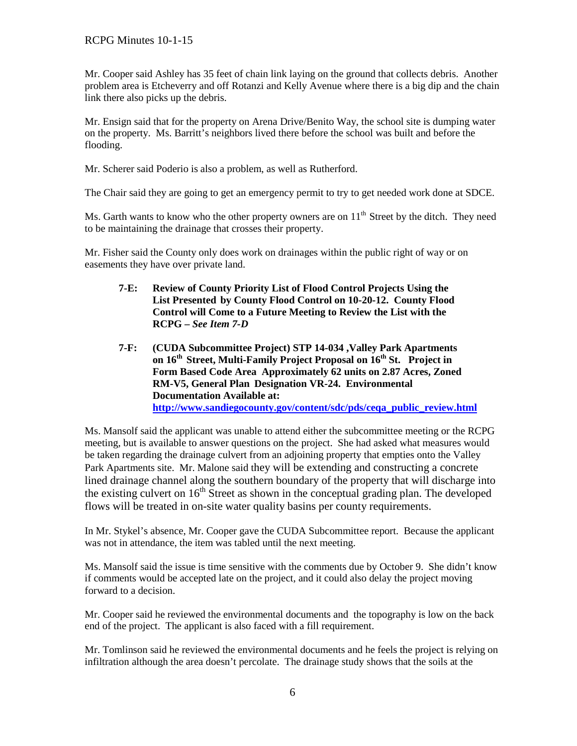Mr. Cooper said Ashley has 35 feet of chain link laying on the ground that collects debris. Another problem area is Etcheverry and off Rotanzi and Kelly Avenue where there is a big dip and the chain link there also picks up the debris.

Mr. Ensign said that for the property on Arena Drive/Benito Way, the school site is dumping water on the property. Ms. Barritt's neighbors lived there before the school was built and before the flooding.

Mr. Scherer said Poderio is also a problem, as well as Rutherford.

The Chair said they are going to get an emergency permit to try to get needed work done at SDCE.

Ms. Garth wants to know who the other property owners are on  $11<sup>th</sup>$  Street by the ditch. They need to be maintaining the drainage that crosses their property.

Mr. Fisher said the County only does work on drainages within the public right of way or on easements they have over private land.

- **7-E: Review of County Priority List of Flood Control Projects Using the List Presented by County Flood Control on 10-20-12. County Flood Control will Come to a Future Meeting to Review the List with the RCPG –** *See Item 7-D*
- **7-F: (CUDA Subcommittee Project) STP 14-034 ,Valley Park Apartments on 16th Street, Multi-Family Project Proposal on 16th St. Project in Form Based Code Area Approximately 62 units on 2.87 Acres, Zoned RM-V5, General Plan Designation VR-24. Environmental Documentation Available at: [http://www.sandiegocounty.gov/content/sdc/pds/ceqa\\_public\\_review.html](http://www.sandiegocounty.gov/content/sdc/pds/ceqa_public_review.html)**

Ms. Mansolf said the applicant was unable to attend either the subcommittee meeting or the RCPG meeting, but is available to answer questions on the project. She had asked what measures would be taken regarding the drainage culvert from an adjoining property that empties onto the Valley Park Apartments site. Mr. Malone said they will be extending and constructing a concrete lined drainage channel along the southern boundary of the property that will discharge into the existing culvert on 16<sup>th</sup> Street as shown in the conceptual grading plan. The developed flows will be treated in on-site water quality basins per county requirements.

In Mr. Stykel's absence, Mr. Cooper gave the CUDA Subcommittee report. Because the applicant was not in attendance, the item was tabled until the next meeting.

Ms. Mansolf said the issue is time sensitive with the comments due by October 9. She didn't know if comments would be accepted late on the project, and it could also delay the project moving forward to a decision.

Mr. Cooper said he reviewed the environmental documents and the topography is low on the back end of the project. The applicant is also faced with a fill requirement.

Mr. Tomlinson said he reviewed the environmental documents and he feels the project is relying on infiltration although the area doesn't percolate. The drainage study shows that the soils at the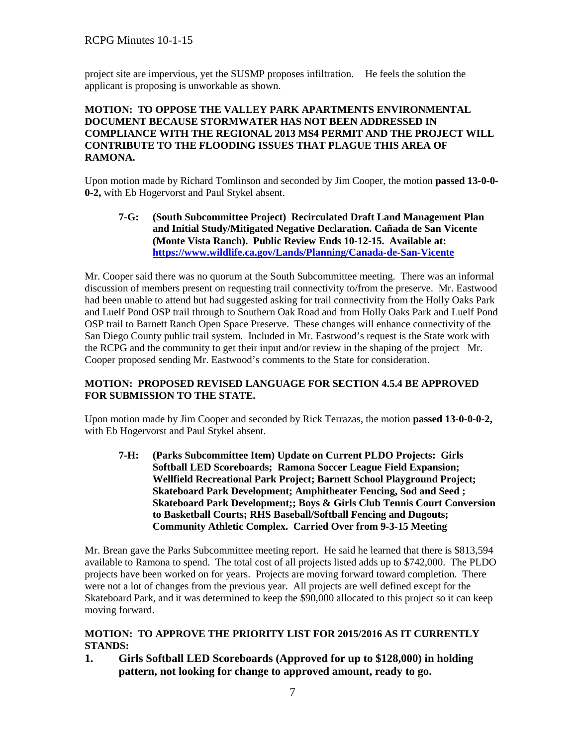project site are impervious, yet the SUSMP proposes infiltration.He feels the solution the applicant is proposing is unworkable as shown.

## **MOTION: TO OPPOSE THE VALLEY PARK APARTMENTS ENVIRONMENTAL DOCUMENT BECAUSE STORMWATER HAS NOT BEEN ADDRESSED IN COMPLIANCE WITH THE REGIONAL 2013 MS4 PERMIT AND THE PROJECT WILL CONTRIBUTE TO THE FLOODING ISSUES THAT PLAGUE THIS AREA OF RAMONA.**

Upon motion made by Richard Tomlinson and seconded by Jim Cooper, the motion **passed 13-0-0- 0-2,** with Eb Hogervorst and Paul Stykel absent.

**7-G: (South Subcommittee Project) Recirculated Draft Land Management Plan and Initial Study/Mitigated Negative Declaration. Cañada de San Vicente (Monte Vista Ranch). Public Review Ends 10-12-15. Available at: <https://www.wildlife.ca.gov/Lands/Planning/Canada-de-San-Vicente>**

Mr. Cooper said there was no quorum at the South Subcommittee meeting. There was an informal discussion of members present on requesting trail connectivity to/from the preserve. Mr. Eastwood had been unable to attend but had suggested asking for trail connectivity from the Holly Oaks Park and Luelf Pond OSP trail through to Southern Oak Road and from Holly Oaks Park and Luelf Pond OSP trail to Barnett Ranch Open Space Preserve. These changes will enhance connectivity of the San Diego County public trail system. Included in Mr. Eastwood's request is the State work with the RCPG and the community to get their input and/or review in the shaping of the project Mr. Cooper proposed sending Mr. Eastwood's comments to the State for consideration.

# **MOTION: PROPOSED REVISED LANGUAGE FOR SECTION 4.5.4 BE APPROVED FOR SUBMISSION TO THE STATE.**

Upon motion made by Jim Cooper and seconded by Rick Terrazas, the motion **passed 13-0-0-0-2,**  with Eb Hogervorst and Paul Stykel absent.

**7-H: (Parks Subcommittee Item) Update on Current PLDO Projects: Girls Softball LED Scoreboards; Ramona Soccer League Field Expansion; Wellfield Recreational Park Project; Barnett School Playground Project; Skateboard Park Development; Amphitheater Fencing, Sod and Seed ; Skateboard Park Development;; Boys & Girls Club Tennis Court Conversion to Basketball Courts; RHS Baseball/Softball Fencing and Dugouts; Community Athletic Complex. Carried Over from 9-3-15 Meeting**

Mr. Brean gave the Parks Subcommittee meeting report. He said he learned that there is \$813,594 available to Ramona to spend. The total cost of all projects listed adds up to \$742,000. The PLDO projects have been worked on for years. Projects are moving forward toward completion. There were not a lot of changes from the previous year. All projects are well defined except for the Skateboard Park, and it was determined to keep the \$90,000 allocated to this project so it can keep moving forward.

# **MOTION: TO APPROVE THE PRIORITY LIST FOR 2015/2016 AS IT CURRENTLY STANDS:**

**1. Girls Softball LED Scoreboards (Approved for up to \$128,000) in holding pattern, not looking for change to approved amount, ready to go.**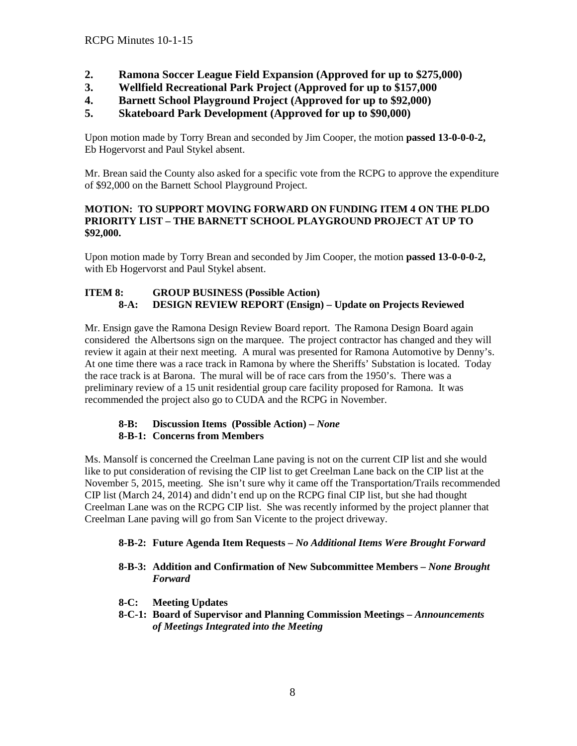- **2. Ramona Soccer League Field Expansion (Approved for up to \$275,000)**
- **3. Wellfield Recreational Park Project (Approved for up to \$157,000**
- **4. Barnett School Playground Project (Approved for up to \$92,000)**
- **5. Skateboard Park Development (Approved for up to \$90,000)**

Upon motion made by Torry Brean and seconded by Jim Cooper, the motion **passed 13-0-0-0-2,**  Eb Hogervorst and Paul Stykel absent.

Mr. Brean said the County also asked for a specific vote from the RCPG to approve the expenditure of \$92,000 on the Barnett School Playground Project.

#### **MOTION: TO SUPPORT MOVING FORWARD ON FUNDING ITEM 4 ON THE PLDO PRIORITY LIST – THE BARNETT SCHOOL PLAYGROUND PROJECT AT UP TO \$92,000.**

Upon motion made by Torry Brean and seconded by Jim Cooper, the motion **passed 13-0-0-0-2,**  with Eb Hogervorst and Paul Stykel absent.

# **ITEM 8: GROUP BUSINESS (Possible Action) 8-A: DESIGN REVIEW REPORT (Ensign) – Update on Projects Reviewed**

Mr. Ensign gave the Ramona Design Review Board report. The Ramona Design Board again considered the Albertsons sign on the marquee. The project contractor has changed and they will review it again at their next meeting. A mural was presented for Ramona Automotive by Denny's. At one time there was a race track in Ramona by where the Sheriffs' Substation is located. Today the race track is at Barona. The mural will be of race cars from the 1950's. There was a preliminary review of a 15 unit residential group care facility proposed for Ramona. It was recommended the project also go to CUDA and the RCPG in November.

### **8-B: Discussion Items (Possible Action) –** *None*  **8-B-1: Concerns from Members**

Ms. Mansolf is concerned the Creelman Lane paving is not on the current CIP list and she would like to put consideration of revising the CIP list to get Creelman Lane back on the CIP list at the November 5, 2015, meeting. She isn't sure why it came off the Transportation/Trails recommended CIP list (March 24, 2014) and didn't end up on the RCPG final CIP list, but she had thought Creelman Lane was on the RCPG CIP list. She was recently informed by the project planner that Creelman Lane paving will go from San Vicente to the project driveway.

# **8-B-2: Future Agenda Item Requests –** *No Additional Items Were Brought Forward*

### **8-B-3: Addition and Confirmation of New Subcommittee Members –** *None Brought Forward*

- **8-C: Meeting Updates**
- **8-C-1: Board of Supervisor and Planning Commission Meetings –** *Announcements of Meetings Integrated into the Meeting*